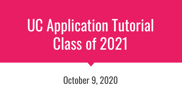# UC Application Tutorial Class of 2021

# October 9, 2020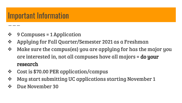#### Important Information

- ❖ 9 Campuses = 1 Application
- ❖ Applying for Fall Quarter/Semester 2021 as a Freshman
- ❖ Make sure the campus(es) you are applying for has the major you are interested in, not all campuses have all majors = do your research
- ❖ Cost is \$70.00 PER application/campus
- ❖ May start submitting UC applications starting November 1
- ❖ Due November 30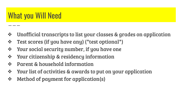#### What you Will Need

- ❖ Unofficial transcripts to list your classes & grades on application
- ❖ Test scores (if you have any) (\*test optional\*)
- ❖ Your social security number, if you have one
- ❖ Your citizenship & residency information
- ❖ Parent & household information
- ❖ Your list of activities & awards to put on your application
- ❖ Method of payment for application(s)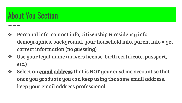## About You Section

- ❖ Personal info, contact info, citizenship & residency info, demographics, background, your household info, parent info = get correct information (no guessing)
- ❖ Use your legal name (drivers license, birth certificate, passport, etc.)
- ❖ Select an **email address** that is NOT your cusd.me account so that once you graduate you can keep using the same email address, keep your email address professional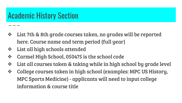#### Academic History Section

- ❖ List 7th & 8th grade courses taken, no grades will be reported here. Course name and term period (full year)
- ❖ List all high schools attended
- ❖ Carmel High School, 050475 is the school code
- ❖ List all courses taken & taking while in high school by grade level
- ❖ College courses taken in high school (examples: MPC US History, MPC Sports Medicine) - applicants will need to input college information & course title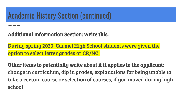#### Academic History Section (continued)

#### Additional Information Section: Write this.

During spring 2020, Carmel High School students were given the option to select letter grades or CR/NC.

Other items to potentially write about if it applies to the applicant: change in curriculum, dip in grades, explanations for being unable to take a certain course or selection of courses, if you moved during high school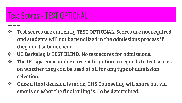## Test Scores - TEST OPTIONAL

- ❖ Test scores are currently TEST OPTIONAL. Scores are not required and students will not be penalized in the admissions process if they don't submit them.
- ❖ UC Berkeley is TEST BLIND. No test scores for admissions.
- ❖ The UC system is under current litigation in regards to test scores on whether they can be used at all for any type of admission selection.
- ❖ Once a final decision is made, CHS Counseling will share out via emails on what the final ruling is. To be determined.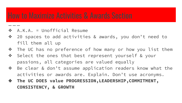- ❖ A.K.A. = Unofficial Resume
- ❖ 20 spaces to add activities & awards, you don't need to fill them all up
- ❖ The UC has no preference of how many or how you list them
- ❖ Select the ones that best represent yourself & your passions, all categories are valued equally
- ❖ Be clear & don't assume application readers know what the activities or awards are. Explain. Don't use acronyms.
- ❖ **The UC DOES value PROGRESSION,LEADERSHIP,COMMITMENT, CONSISTENCY, & GROWTH**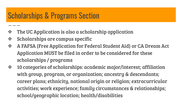#### Scholarships & Programs Section

- ❖ The UC Application is also a scholarship application
- ❖ Scholarships are campus specific
- ❖ A FAFSA (Free Application for Federal Student Aid) or CA Dream Act Application MUST be filed in order to be considered for these scholarships / programs
- ❖ 10 categories of scholarships: academic major/interest; affiliation with group, program, or organization; ancestry & descendants; career plans; ethnicity, national origin or religion; extracurricular activities; work experience; family circumstances & relationships; school/geographic location; health/disabilities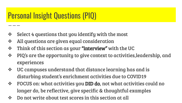# Personal Insight Questions (PIQ)

- ❖ Select 4 questions that you identify with the most
- ❖ All questions are given equal consideration
- ❖ Think of this section as your **"interview"** with the UC
- ❖ PIQ's are the opportunity to give context to activities,leadership, and experiences
- ❖ UC campuses understand that distance learning has and is disturbing student's enrichment activities due to COVID19
- ❖ FOCUS on: what activities you DID do, not what activities could no longer do, be reflective, give specific & thoughtful examples
- ❖ Do not write about test scores in this section at all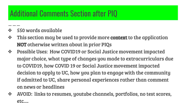## Additional Comments Section after PIQ

- $\div$  550 words available
- ❖ This section may be used to provide more context to the application NOT otherwise written about in prior PIQs
- ❖ Possible Uses: How COVID19 or Social Justice movement impacted major choice, what type of changes you made to extracurriculars due to COVID19, how COVID 19 or Social Justice movement impacted decision to apply to UC, how you plan to engage with the community if admitted to UC, share personal experiences rather than comment on news or headlines
- ❖ AVOID: links to resumes, youtube channels, portfolios, no test scores, etc….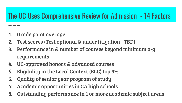#### The UC Uses Comprehensive Review for Admission - 14 Factors

- 1. Grade point average
- 2. Test scores (Test optional & under litigation TBD)
- 3. Performance in & number of courses beyond minimum a-g requirements
- 4. UC-approved honors & advanced courses
- 5. Eligibility in the Local Context (ELC) top 9%
- 6. Quality of senior year program of study
- 7. Academic opportunities in CA high schools
- 8. Outstanding performance in 1 or more academic subject areas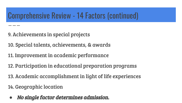### Comprehensive Review - 14 Factors (continued)

- 9. Achievements in special projects
- 10. Special talents, achievements, & awards
- 11. Improvement in academic performance
- 12. Participation in educational preparation programs
- 13. Academic accomplishment in light of life experiences
- 14. Geographic location
- *●* No single factor determines admission.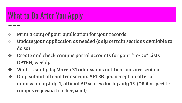#### What to Do After You Apply

- ❖ Print a copy of your application for your records
- ❖ Update your application as needed (only certain sections available to do so)
- ❖ Create and check campus portal accounts for your "To-Do" Lists OFTEN, weekly
- ❖ Wait Usually by March 31 admissions notifications are sent out
- ❖ Only submit official transcripts AFTER you accept an offer of admission by July 1, official AP scores due by July 15 (OR if a specific campus requests it earlier, send)